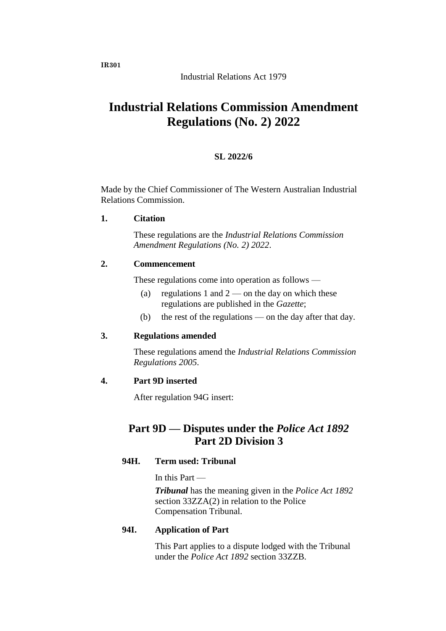# **Industrial Relations Commission Amendment Regulations (No. 2) 2022**

## **SL 2022/6**

Made by the Chief Commissioner of The Western Australian Industrial Relations Commission.

**1. Citation**

These regulations are the *Industrial Relations Commission Amendment Regulations (No. 2) 2022*.

#### **2. Commencement**

These regulations come into operation as follows —

- (a) regulations 1 and  $2$  on the day on which these regulations are published in the *Gazette*;
- (b) the rest of the regulations on the day after that day.

#### **3. Regulations amended**

These regulations amend the *Industrial Relations Commission Regulations 2005*.

#### **4. Part 9D inserted**

After regulation 94G insert:

# **Part 9D — Disputes under the** *Police Act 1892* **Part 2D Division 3**

#### **94H. Term used: Tribunal**

In this Part —

*Tribunal* has the meaning given in the *Police Act 1892*  section 33ZZA(2) in relation to the Police Compensation Tribunal.

#### **94I. Application of Part**

This Part applies to a dispute lodged with the Tribunal under the *Police Act 1892* section 33ZZB.

**IR301**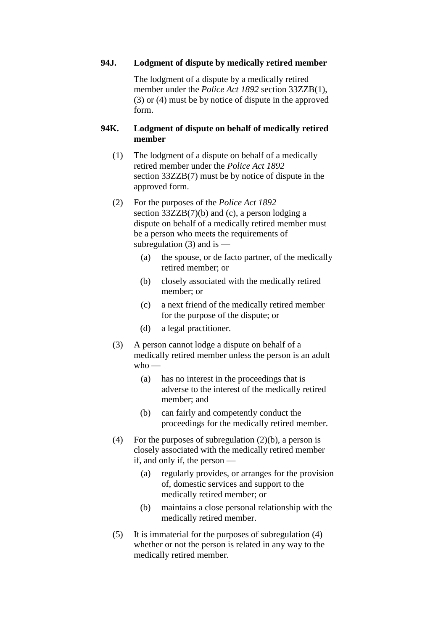#### **94J. Lodgment of dispute by medically retired member**

The lodgment of a dispute by a medically retired member under the *Police Act 1892* section 33ZZB(1), (3) or (4) must be by notice of dispute in the approved form.

## **94K. Lodgment of dispute on behalf of medically retired member**

- (1) The lodgment of a dispute on behalf of a medically retired member under the *Police Act 1892*  section 33ZZB(7) must be by notice of dispute in the approved form.
- (2) For the purposes of the *Police Act 1892*  section 33ZZB(7)(b) and (c), a person lodging a dispute on behalf of a medically retired member must be a person who meets the requirements of subregulation  $(3)$  and is —
	- (a) the spouse, or de facto partner, of the medically retired member; or
	- (b) closely associated with the medically retired member; or
	- (c) a next friend of the medically retired member for the purpose of the dispute; or
	- (d) a legal practitioner.
- (3) A person cannot lodge a dispute on behalf of a medically retired member unless the person is an adult  $w$ ho —
	- (a) has no interest in the proceedings that is adverse to the interest of the medically retired member; and
	- (b) can fairly and competently conduct the proceedings for the medically retired member.
- (4) For the purposes of subregulation  $(2)(b)$ , a person is closely associated with the medically retired member if, and only if, the person —
	- (a) regularly provides, or arranges for the provision of, domestic services and support to the medically retired member; or
	- (b) maintains a close personal relationship with the medically retired member.
- (5) It is immaterial for the purposes of subregulation (4) whether or not the person is related in any way to the medically retired member.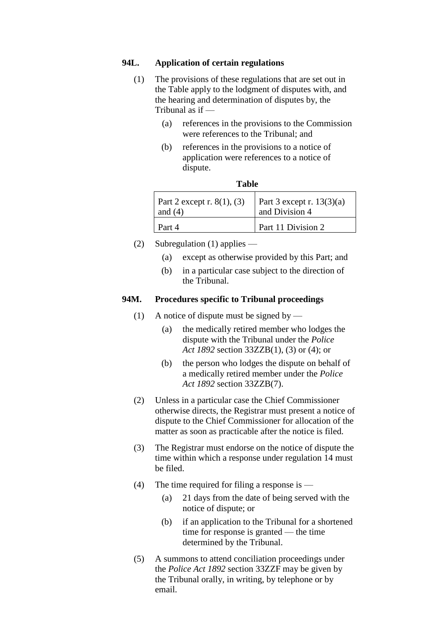#### **94L. Application of certain regulations**

- (1) The provisions of these regulations that are set out in the Table apply to the lodgment of disputes with, and the hearing and determination of disputes by, the Tribunal as if —
	- (a) references in the provisions to the Commission were references to the Tribunal; and
	- (b) references in the provisions to a notice of application were references to a notice of dispute.

| Part 2 except r. $8(1)$ , (3) | Part 3 except r. $13(3)(a)$ |
|-------------------------------|-----------------------------|
| and $(4)$                     | and Division 4              |
| Part 4                        | Part 11 Division 2          |

- **Table**
- (2) Subregulation (1) applies
	- (a) except as otherwise provided by this Part; and
	- (b) in a particular case subject to the direction of the Tribunal.

#### **94M. Procedures specific to Tribunal proceedings**

- (1) A notice of dispute must be signed by
	- (a) the medically retired member who lodges the dispute with the Tribunal under the *Police Act 1892* section 33ZZB(1), (3) or (4); or
	- (b) the person who lodges the dispute on behalf of a medically retired member under the *Police Act 1892* section 33ZZB(7).
- (2) Unless in a particular case the Chief Commissioner otherwise directs, the Registrar must present a notice of dispute to the Chief Commissioner for allocation of the matter as soon as practicable after the notice is filed.
- (3) The Registrar must endorse on the notice of dispute the time within which a response under regulation 14 must be filed.
- (4) The time required for filing a response is
	- (a) 21 days from the date of being served with the notice of dispute; or
	- (b) if an application to the Tribunal for a shortened time for response is granted — the time determined by the Tribunal.
- (5) A summons to attend conciliation proceedings under the *Police Act 1892* section 33ZZF may be given by the Tribunal orally, in writing, by telephone or by email.